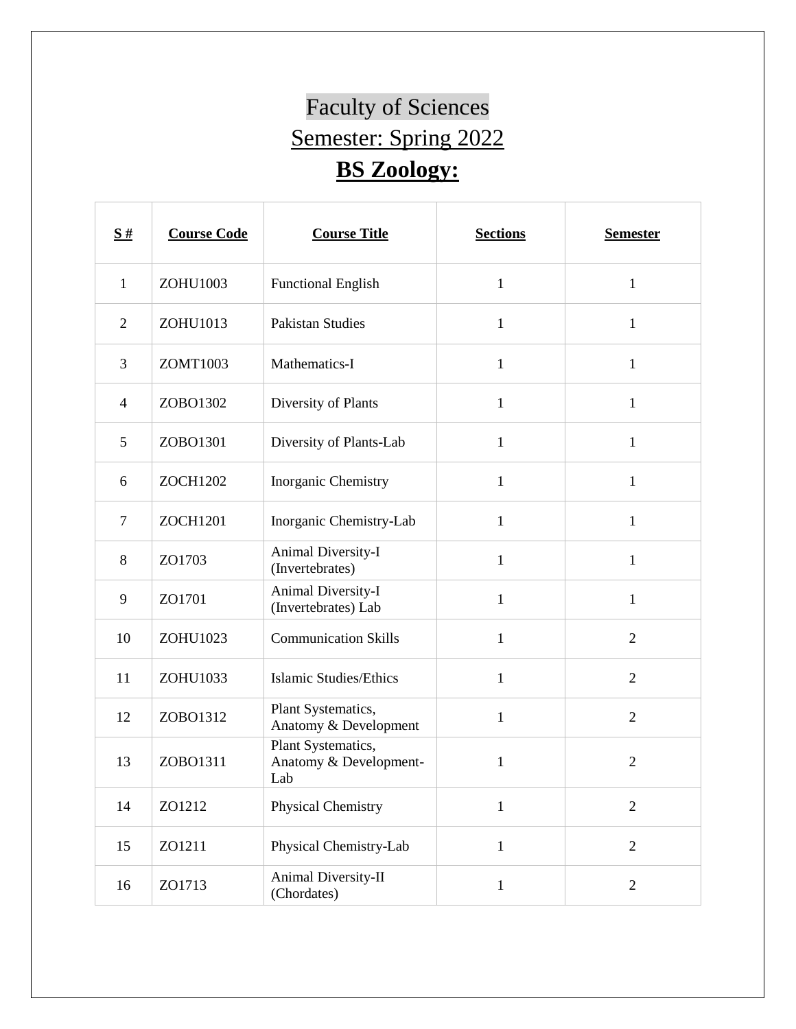## Faculty of Sciences Semester: Spring 2022 **BS Zoology:**

| S#             | <b>Course Code</b> | <b>Course Title</b>                                 | <b>Sections</b> | <b>Semester</b> |
|----------------|--------------------|-----------------------------------------------------|-----------------|-----------------|
| $\mathbf{1}$   | ZOHU1003           | <b>Functional English</b>                           | $\mathbf{1}$    | $\mathbf{1}$    |
| $\overline{2}$ | ZOHU1013           | <b>Pakistan Studies</b>                             | $\mathbf{1}$    | $\mathbf{1}$    |
| 3              | ZOMT1003           | Mathematics-I                                       | $\mathbf{1}$    | $\mathbf{1}$    |
| $\overline{4}$ | ZOBO1302           | Diversity of Plants                                 | $\mathbf{1}$    | $\mathbf{1}$    |
| 5              | ZOBO1301           | Diversity of Plants-Lab                             | 1               | 1               |
| 6              | <b>ZOCH1202</b>    | Inorganic Chemistry                                 | $\mathbf{1}$    | $\mathbf{1}$    |
| $\overline{7}$ | <b>ZOCH1201</b>    | Inorganic Chemistry-Lab                             | $\mathbf{1}$    | $\mathbf{1}$    |
| 8              | ZO1703             | Animal Diversity-I<br>(Invertebrates)               | $\mathbf{1}$    | $\mathbf{1}$    |
| 9              | ZO1701             | Animal Diversity-I<br>(Invertebrates) Lab           | $\mathbf{1}$    | 1               |
| 10             | ZOHU1023           | <b>Communication Skills</b>                         | $\mathbf{1}$    | $\overline{2}$  |
| 11             | ZOHU1033           | <b>Islamic Studies/Ethics</b>                       | $\mathbf{1}$    | $\overline{2}$  |
| 12             | ZOBO1312           | Plant Systematics,<br>Anatomy & Development         | $\mathbf{1}$    | $\overline{2}$  |
| 13             | ZOBO1311           | Plant Systematics,<br>Anatomy & Development-<br>Lab | 1               | $\overline{2}$  |
| 14             | ZO1212             | Physical Chemistry                                  | $\mathbf{1}$    | $\sqrt{2}$      |
| 15             | ZO1211             | Physical Chemistry-Lab                              | $\mathbf{1}$    | $\sqrt{2}$      |
| 16             | ZO1713             | Animal Diversity-II<br>(Chordates)                  | $\mathbf{1}$    | $\overline{2}$  |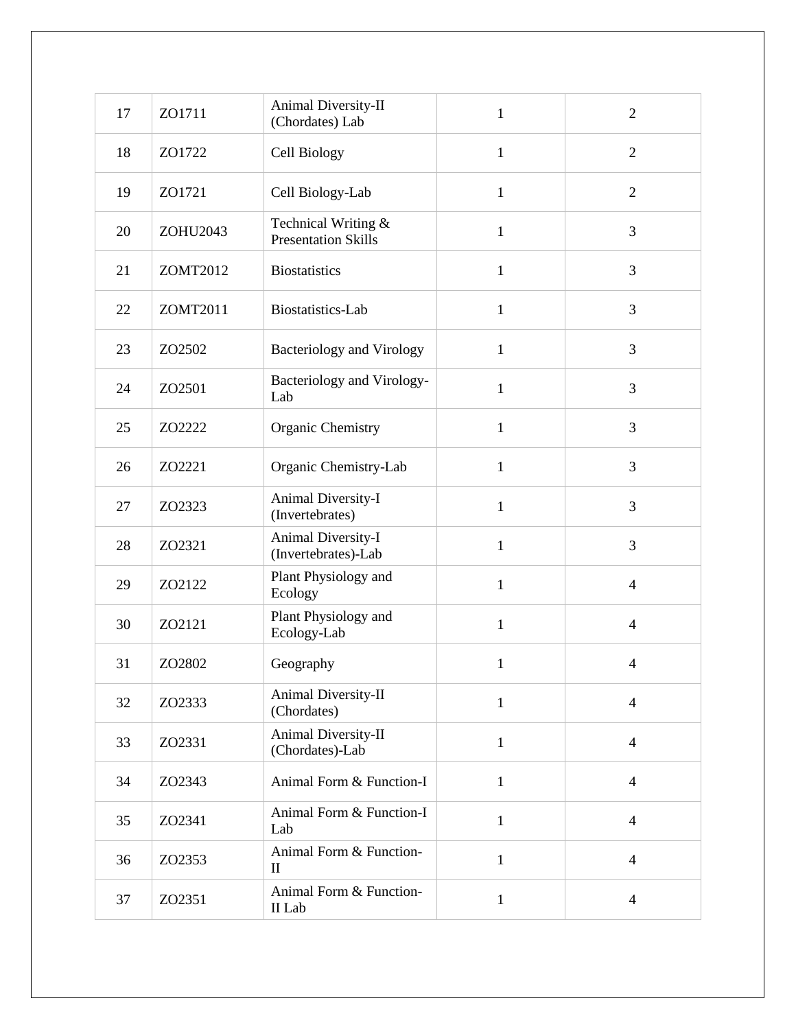| 17 | ZO1711   | Animal Diversity-II<br>(Chordates) Lab            | $\mathbf{1}$ | $\overline{2}$ |
|----|----------|---------------------------------------------------|--------------|----------------|
| 18 | ZO1722   | Cell Biology                                      | $\mathbf{1}$ | $\overline{2}$ |
| 19 | ZO1721   | Cell Biology-Lab                                  | $\mathbf{1}$ | $\overline{2}$ |
| 20 | ZOHU2043 | Technical Writing &<br><b>Presentation Skills</b> | $\mathbf{1}$ | 3              |
| 21 | ZOMT2012 | <b>Biostatistics</b>                              | $\mathbf{1}$ | 3              |
| 22 | ZOMT2011 | Biostatistics-Lab                                 | $\mathbf{1}$ | 3              |
| 23 | ZO2502   | <b>Bacteriology and Virology</b>                  | $\mathbf{1}$ | 3              |
| 24 | ZO2501   | Bacteriology and Virology-<br>Lab                 | $\mathbf{1}$ | 3              |
| 25 | ZO2222   | Organic Chemistry                                 | $\mathbf{1}$ | 3              |
| 26 | ZO2221   | Organic Chemistry-Lab                             | $\mathbf{1}$ | 3              |
| 27 | ZO2323   | Animal Diversity-I<br>(Invertebrates)             | $\mathbf{1}$ | 3              |
| 28 | ZO2321   | Animal Diversity-I<br>(Invertebrates)-Lab         | $\mathbf{1}$ | 3              |
| 29 | ZO2122   | Plant Physiology and<br>Ecology                   | $\mathbf{1}$ | $\overline{4}$ |
| 30 | ZO2121   | Plant Physiology and<br>Ecology-Lab               | $\mathbf{1}$ | $\overline{4}$ |
| 31 | ZO2802   | Geography                                         | $\mathbf{1}$ | 4              |
| 32 | ZO2333   | Animal Diversity-II<br>(Chordates)                | $\mathbf{1}$ | $\overline{4}$ |
| 33 | ZO2331   | Animal Diversity-II<br>(Chordates)-Lab            | $\mathbf{1}$ | $\overline{4}$ |
| 34 | ZO2343   | Animal Form & Function-I                          | $\mathbf{1}$ | $\overline{4}$ |
| 35 | ZO2341   | Animal Form & Function-I<br>Lab                   | $\mathbf{1}$ | $\overline{4}$ |
| 36 | ZO2353   | Animal Form & Function-<br>$\mathbf{I}$           | $\mathbf{1}$ | $\overline{4}$ |
| 37 | ZO2351   | Animal Form & Function-<br>II Lab                 | $\mathbf{1}$ | $\overline{4}$ |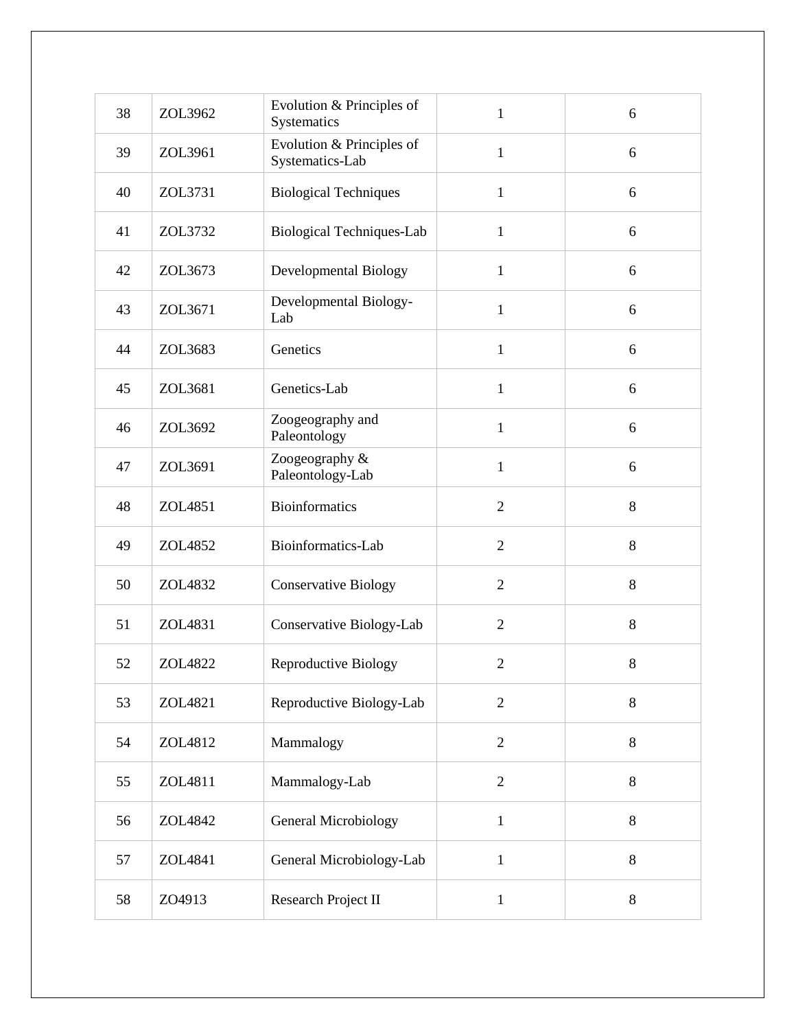| 38 | ZOL3962 | Evolution & Principles of<br>Systematics     | $\mathbf{1}$   | 6     |
|----|---------|----------------------------------------------|----------------|-------|
| 39 | ZOL3961 | Evolution & Principles of<br>Systematics-Lab | $\mathbf{1}$   | 6     |
| 40 | ZOL3731 | <b>Biological Techniques</b>                 | $\mathbf{1}$   | 6     |
| 41 | ZOL3732 | <b>Biological Techniques-Lab</b>             | $\mathbf{1}$   | 6     |
| 42 | ZOL3673 | Developmental Biology                        | $\mathbf{1}$   | 6     |
| 43 | ZOL3671 | Developmental Biology-<br>Lab                | $\mathbf{1}$   | 6     |
| 44 | ZOL3683 | Genetics                                     | $\mathbf{1}$   | 6     |
| 45 | ZOL3681 | Genetics-Lab                                 | $\mathbf{1}$   | 6     |
| 46 | ZOL3692 | Zoogeography and<br>Paleontology             | $\mathbf{1}$   | 6     |
| 47 | ZOL3691 | Zoogeography &<br>Paleontology-Lab           | $\mathbf{1}$   | 6     |
| 48 | ZOL4851 | <b>Bioinformatics</b>                        | $\overline{2}$ | 8     |
| 49 | ZOL4852 | Bioinformatics-Lab                           | $\overline{2}$ | 8     |
| 50 | ZOL4832 | <b>Conservative Biology</b>                  | $\overline{2}$ | 8     |
| 51 | ZOL4831 | Conservative Biology-Lab                     | $\overline{2}$ | 8     |
| 52 | ZOL4822 | <b>Reproductive Biology</b>                  | $\mathfrak{2}$ | $8\,$ |
| 53 | ZOL4821 | Reproductive Biology-Lab                     | $\overline{2}$ | 8     |
| 54 | ZOL4812 | Mammalogy                                    | $\overline{2}$ | 8     |
| 55 | ZOL4811 | Mammalogy-Lab                                | $\sqrt{2}$     | 8     |
| 56 | ZOL4842 | <b>General Microbiology</b>                  | $\mathbf{1}$   | 8     |
| 57 | ZOL4841 | General Microbiology-Lab                     | $\mathbf{1}$   | 8     |
| 58 | ZO4913  | Research Project II                          | $\mathbf{1}$   | 8     |